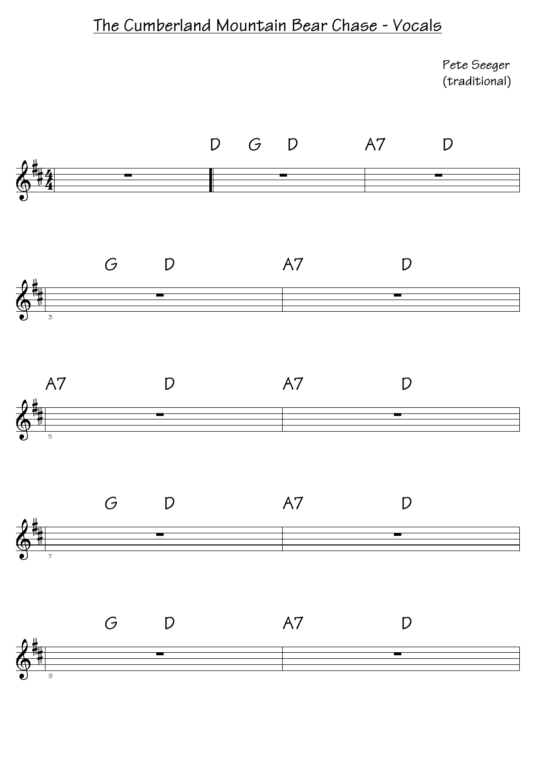# The Cumberland Mountain Bear Chase - Vocals

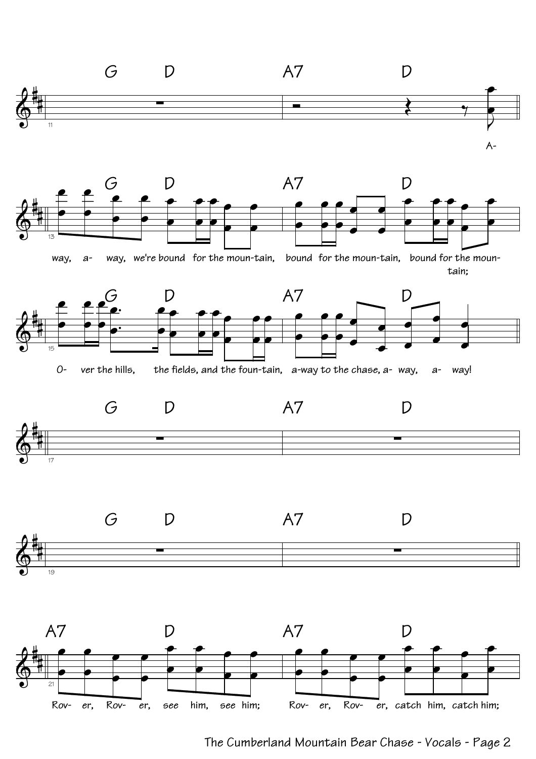

The Cumberland Mountain Bear Chase - Vocals - Page 2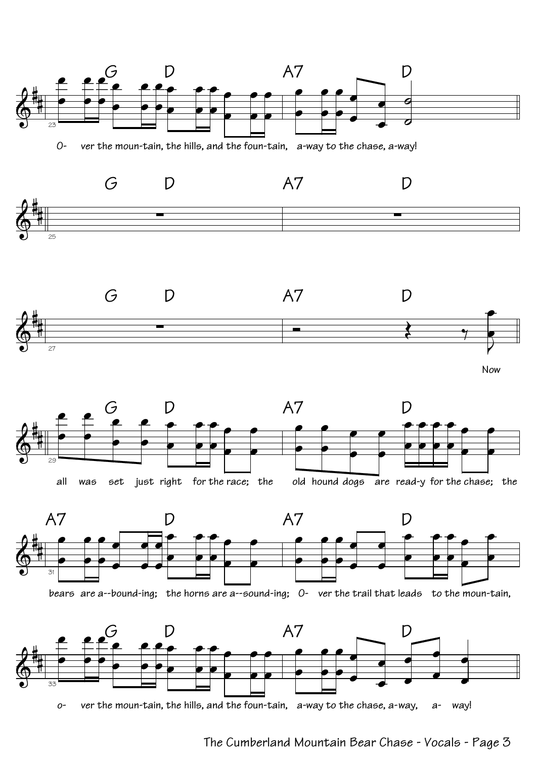

The Cumberland Mountain Bear Chase - Vocals - Page 3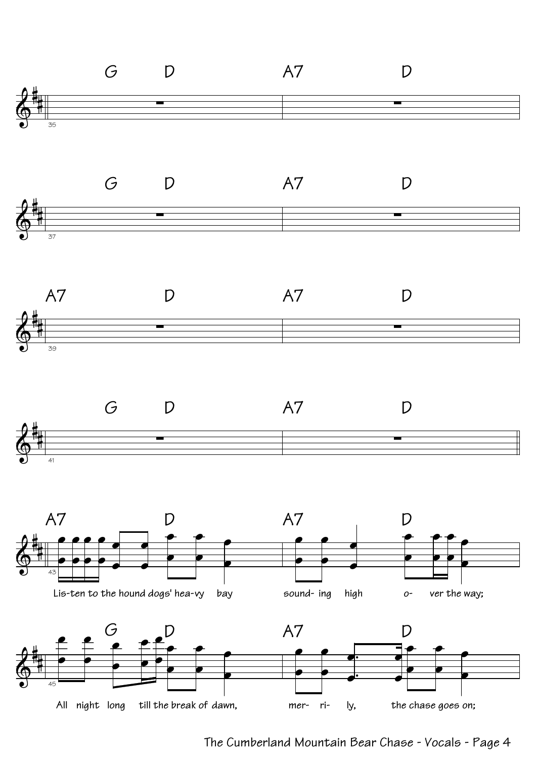

The Cumberland Mountain Bear Chase - Vocals - Page 4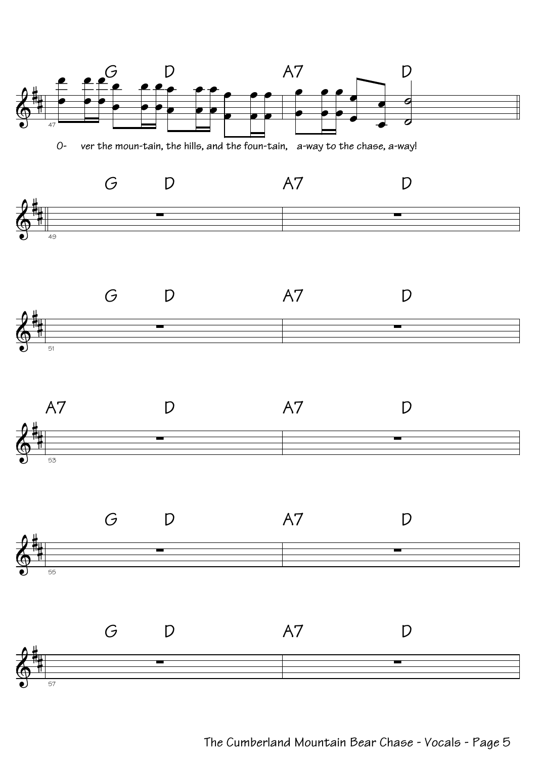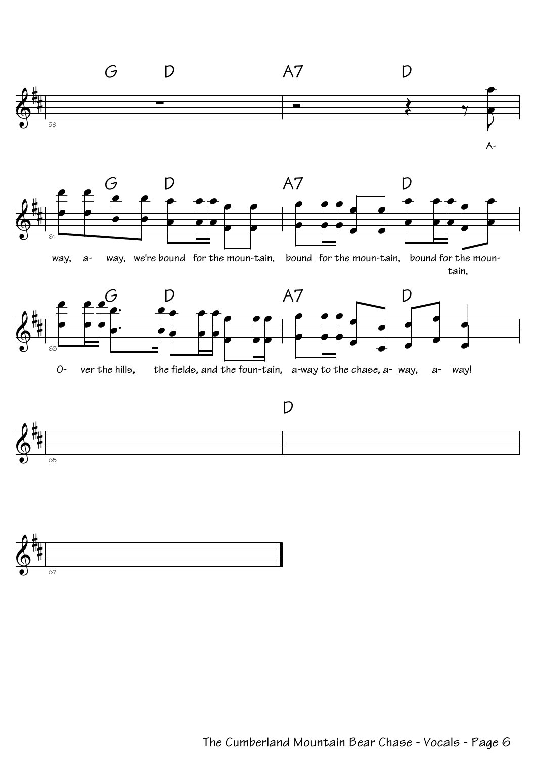

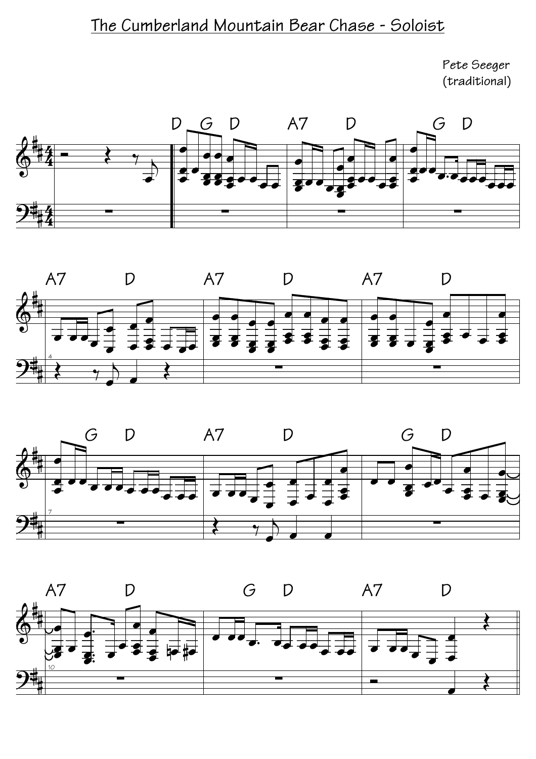# The Cumberland Mountain Bear Chase - Soloist







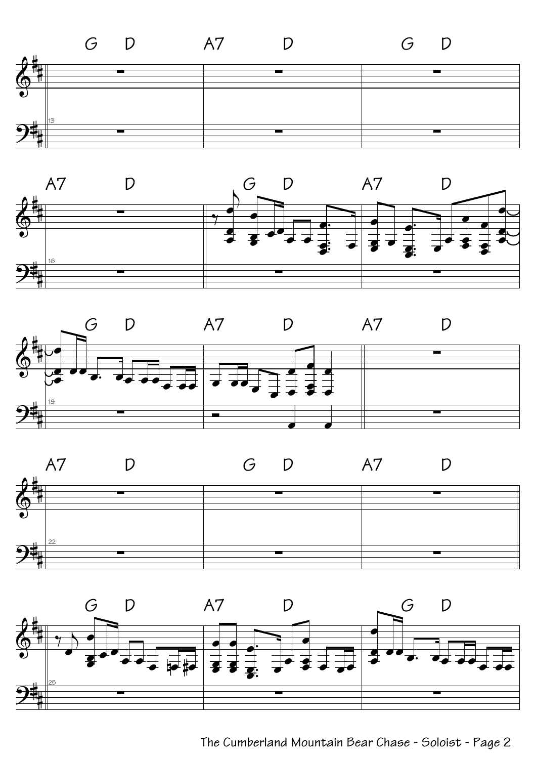









The Cumberland Mountain Bear Chase - Soloist - Page 2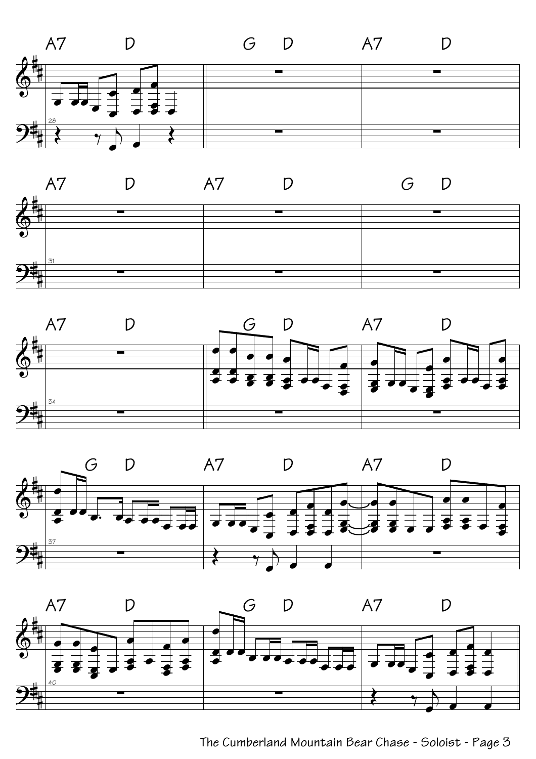









The Cumberland Mountain Bear Chase - Soloist - Page 3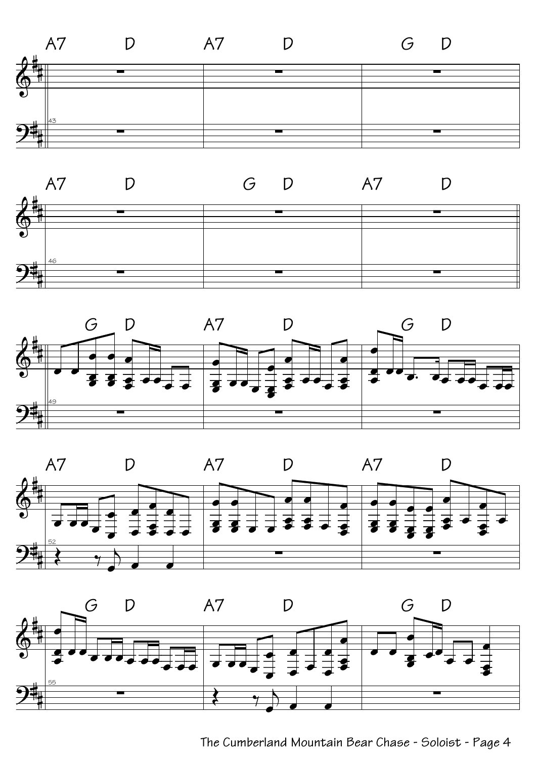









The Cumberland Mountain Bear Chase - Soloist - Page 4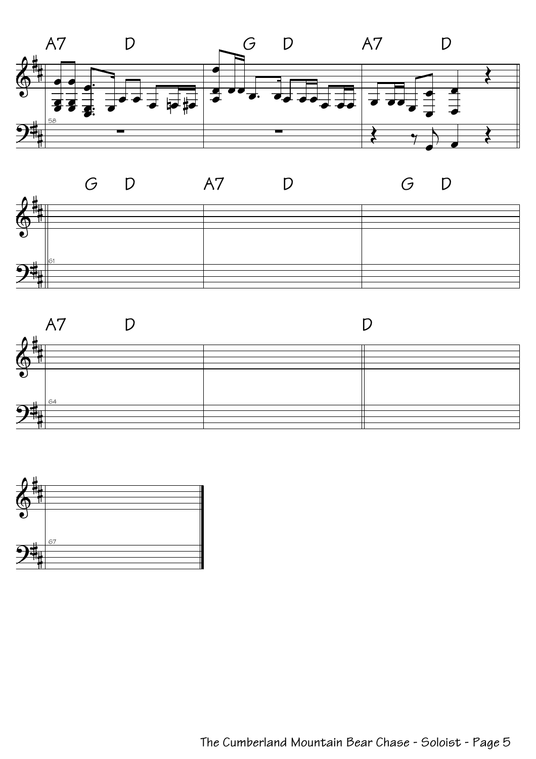





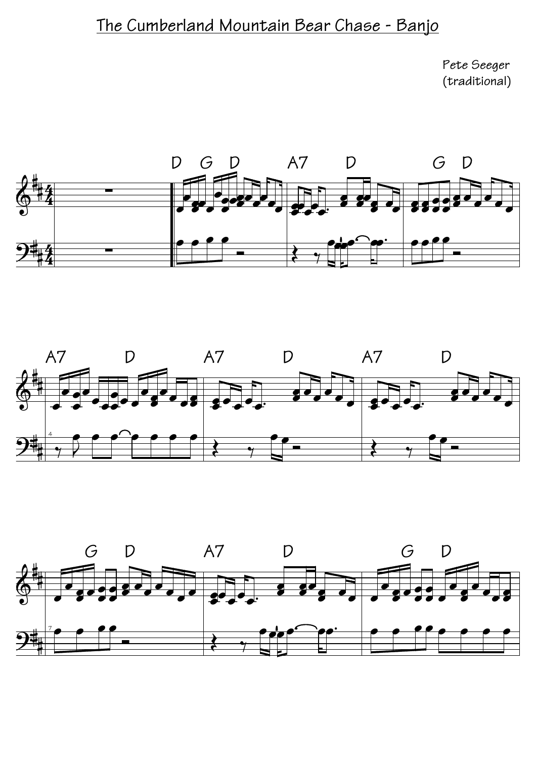# The Cumberland Mountain Bear Chase - Banjo





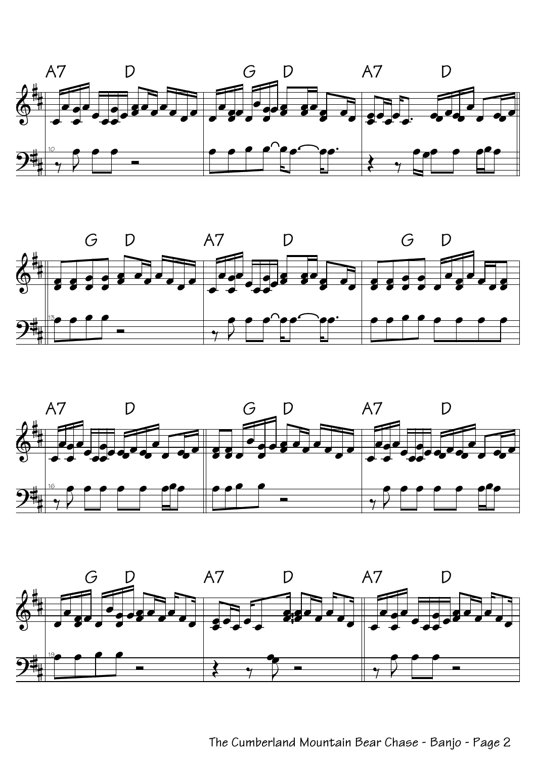





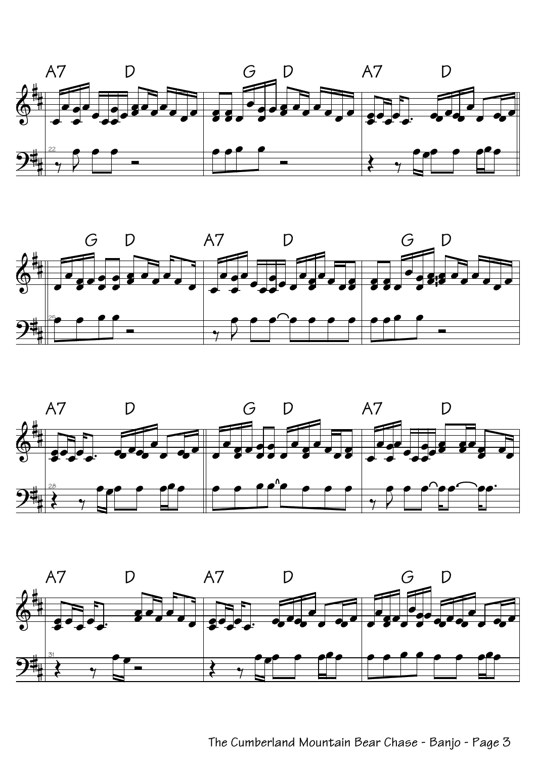





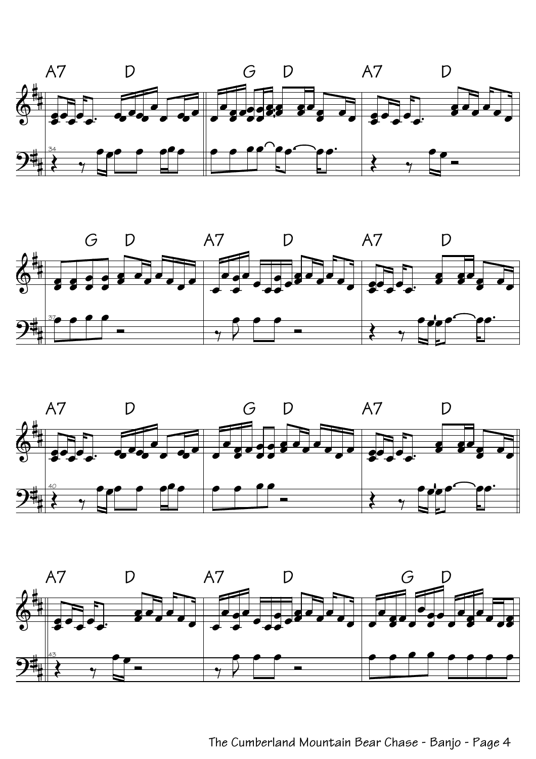





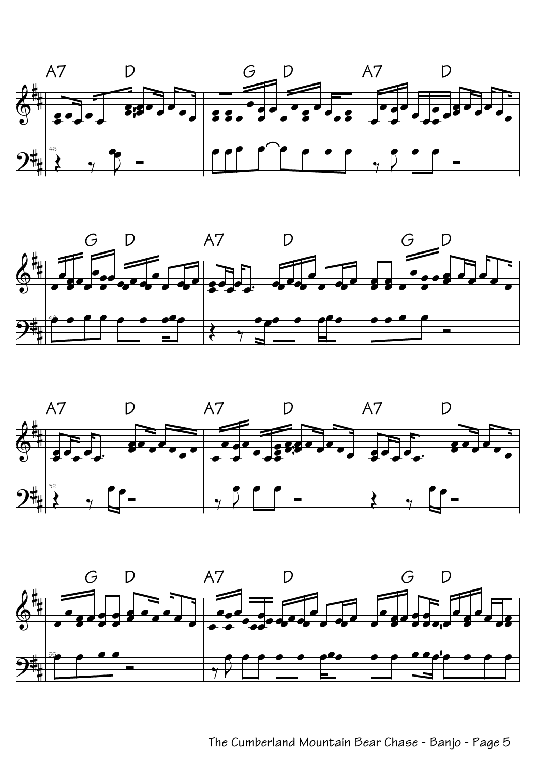





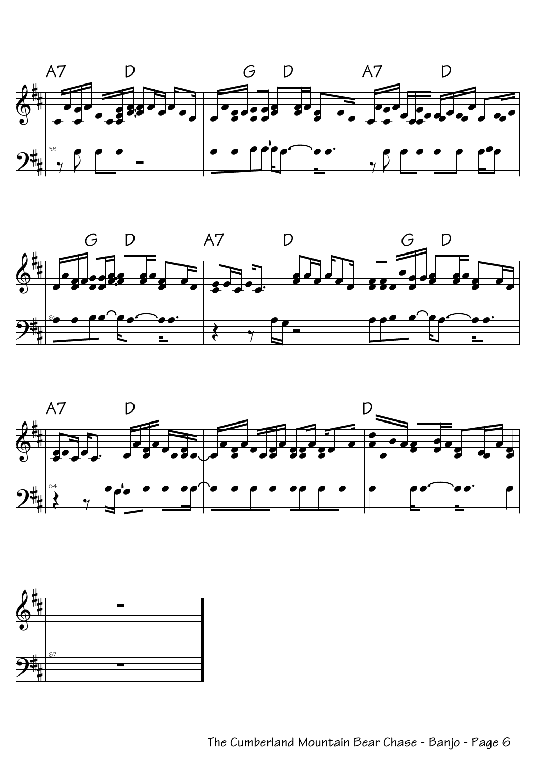





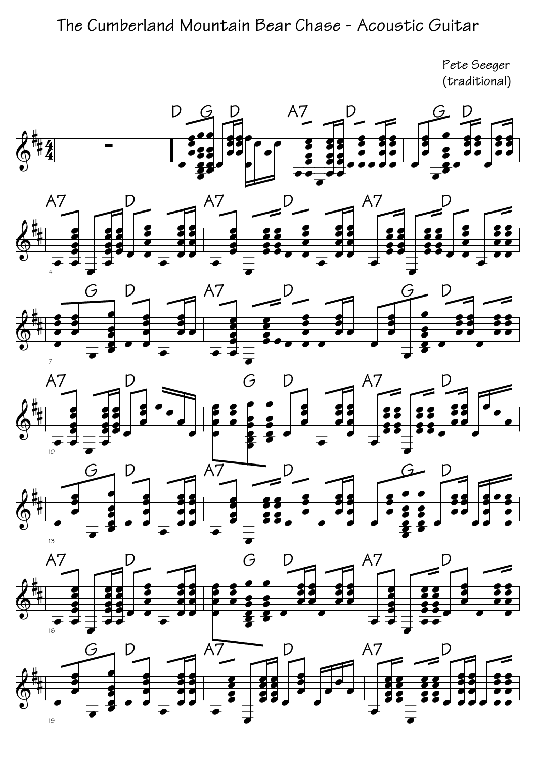### The Cumberland Mountain Bear Chase - Acoustic Guitar

Pete Seeger (traditional)











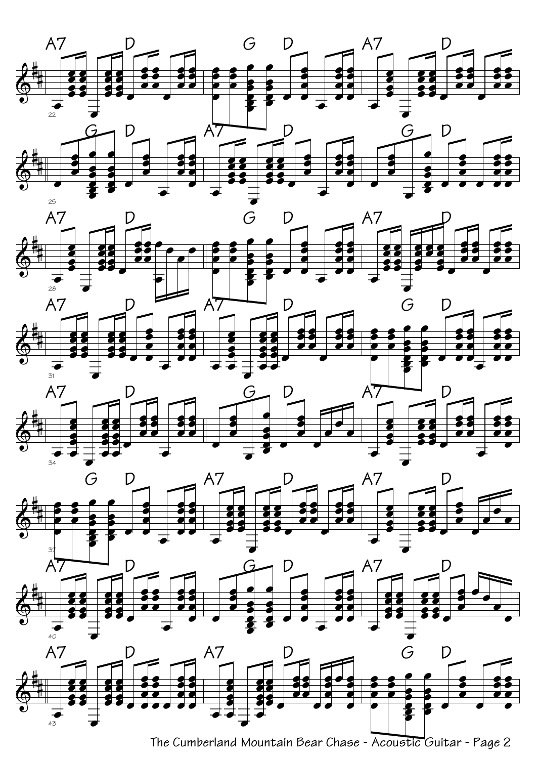











The Cumberland Mountain Bear Chase - Acoustic Guitar - Page 2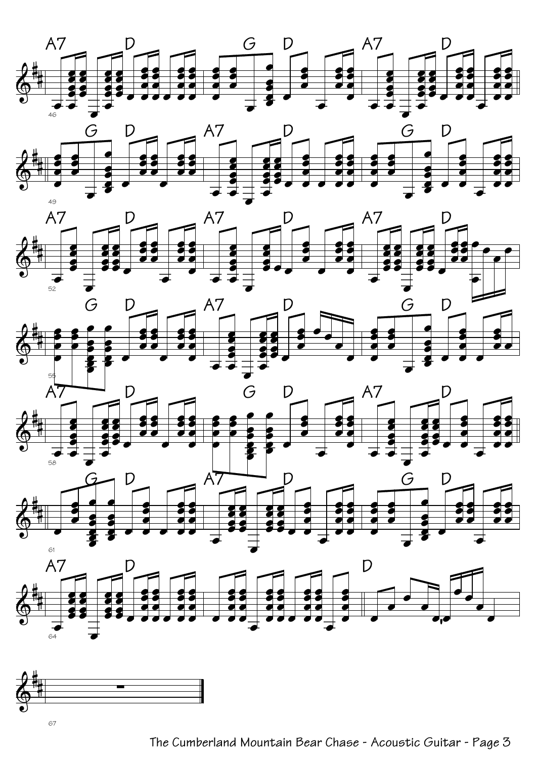













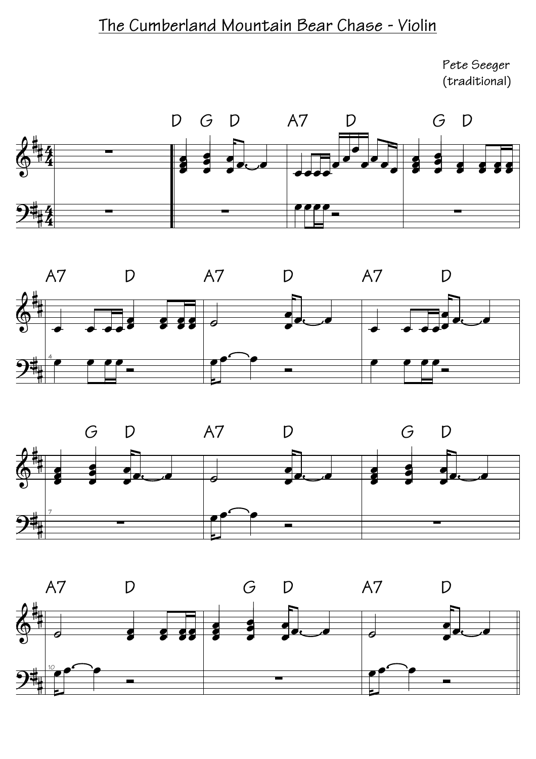# The Cumberland Mountain Bear Chase - Violin







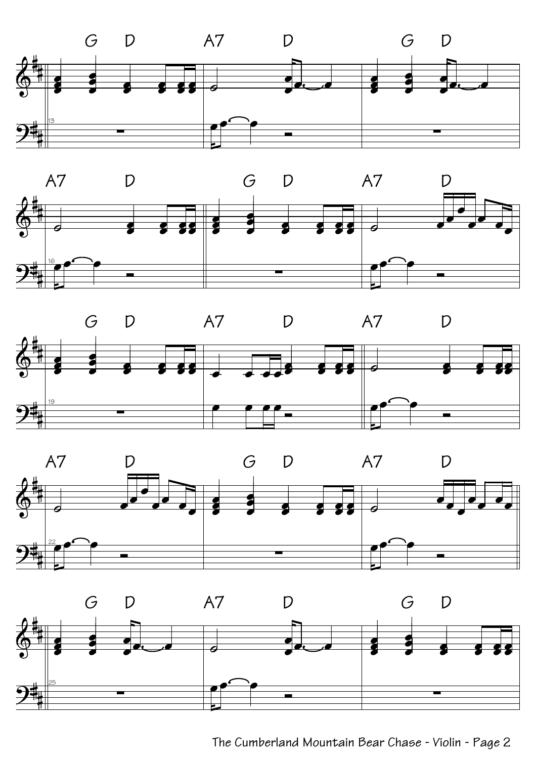









The Cumberland Mountain Bear Chase - Violin - Page 2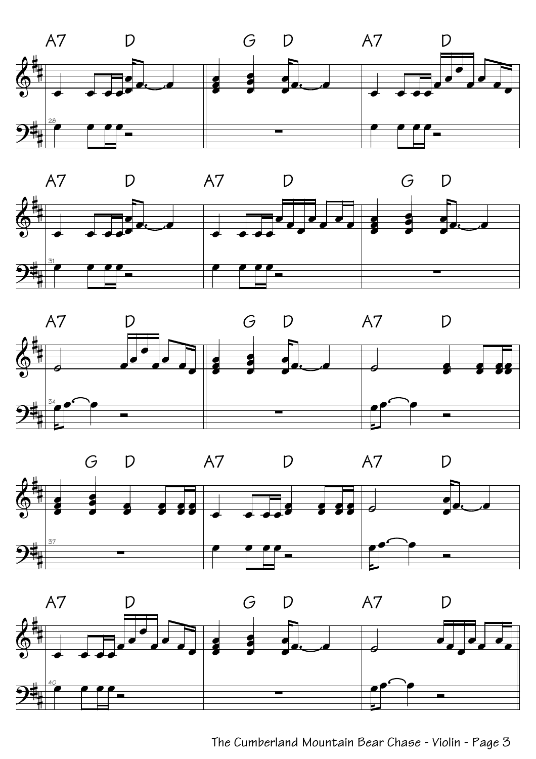









The Cumberland Mountain Bear Chase - Violin - Page 3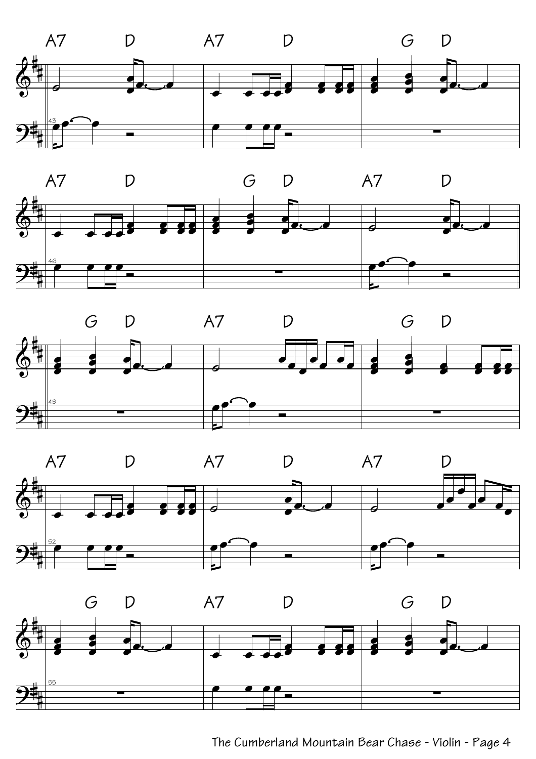









The Cumberland Mountain Bear Chase - Violin - Page 4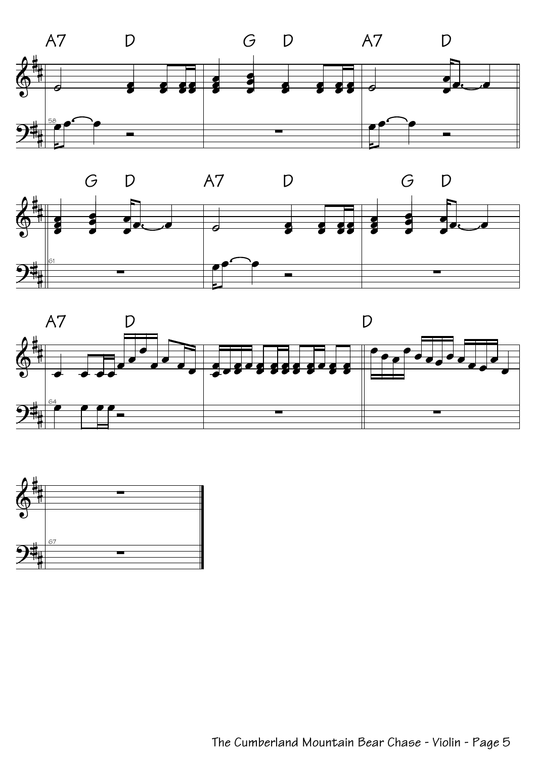





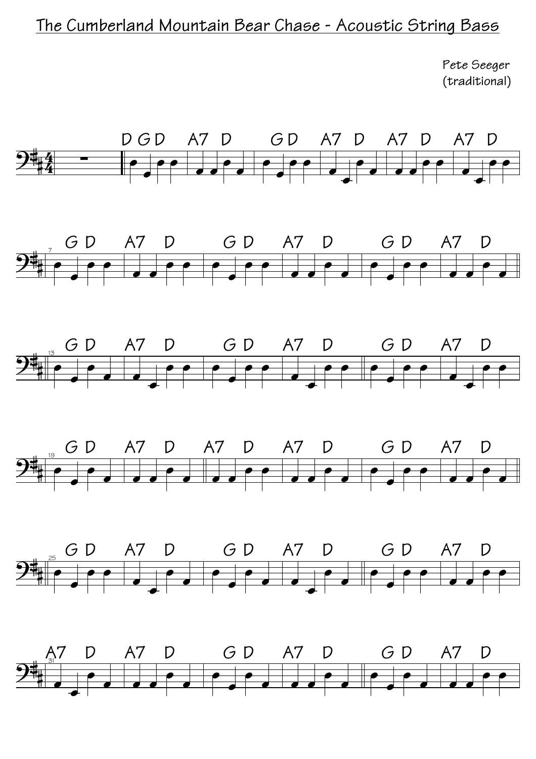#### The Cumberland Mountain Bear Chase - Acoustic String Bass